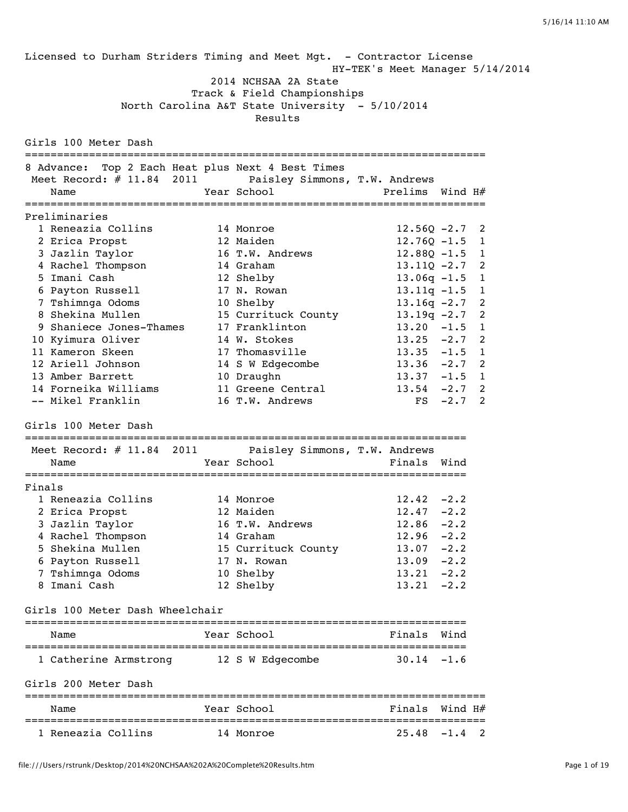Licensed to Durham Striders Timing and Meet Mgt. - Contractor License HY-TEK's Meet Manager 5/14/2014 2014 NCHSAA 2A State Track & Field Championships North Carolina A&T State University - 5/10/2014 Results Girls 100 Meter Dash ======================================================================== 8 Advance: Top 2 Each Heat plus Next 4 Best Times Meet Record: # 11.84 2011 Paisley Simmons, T.W. Andrews Name  $Year School$  Prelims Wind H $#$ ======================================================================== Preliminaries 1 Reneazia Collins 14 Monroe 12.560 -2.7 2 2 Erica Propst 12 Maiden 12.76Q -1.5 1 3 Jazlin Taylor 16 T.W. Andrews 12.88Q -1.5 1 4 Rachel Thompson 14 Graham 13.11Q -2.7 2 5 Imani Cash 12 Shelby 13.06q -1.5 1 6 Payton Russell 17 N. Rowan 13.11q -1.5 1 7 Tshimnga Odoms 10 Shelby 13.16q -2.7 2 8 Shekina Mullen 15 Currituck County 13.19q -2.7 2 9 Shaniece Jones-Thames 17 Franklinton 13.20 -1.5 1 10 Kyimura Oliver 14 W. Stokes 13.25 -2.7 2 11 Kameron Skeen 17 Thomasville 13.35 -1.5 1 12 Ariell Johnson 14 S W Edgecombe 13.36 -2.7 2 13 Amber Barrett 10 Draughn 13.37 -1.5 1 14 Forneika Williams 11 Greene Central 13.54 -2.7 2 -- Mikel Franklin 16 T.W. Andrews FS -2.7 2 Girls 100 Meter Dash ===================================================================== Meet Record: # 11.84 2011 Paisley Simmons, T.W. Andrews Name The Year School Contract Prinals Wind ===================================================================== Finals 1 Reneazia Collins 14 Monroe 12.42 -2.2 2 Erica Propst 12 Maiden 12.47 -2.2 3 Jazlin Taylor 16 T.W. Andrews 12.86 -2.2 4 Rachel Thompson 14 Graham 12.96 -2.2 5 Shekina Mullen 15 Currituck County 13.07 -2.2 6 Payton Russell 17 N. Rowan 13.09 -2.2 7 Tshimnga Odoms 10 Shelby 13.21 -2.2 8 Imani Cash 12 Shelby 13.21 -2.2 Girls 100 Meter Dash Wheelchair ===================================================================== Name The Year School Team Prinals Wind ===================================================================== 1 Catherine Armstrong 12 S W Edgecombe 30.14 -1.6 Girls 200 Meter Dash ======================================================================== Finals Wind H# ======================================================================== 1 Reneazia Collins 14 Monroe 25.48 -1.4 2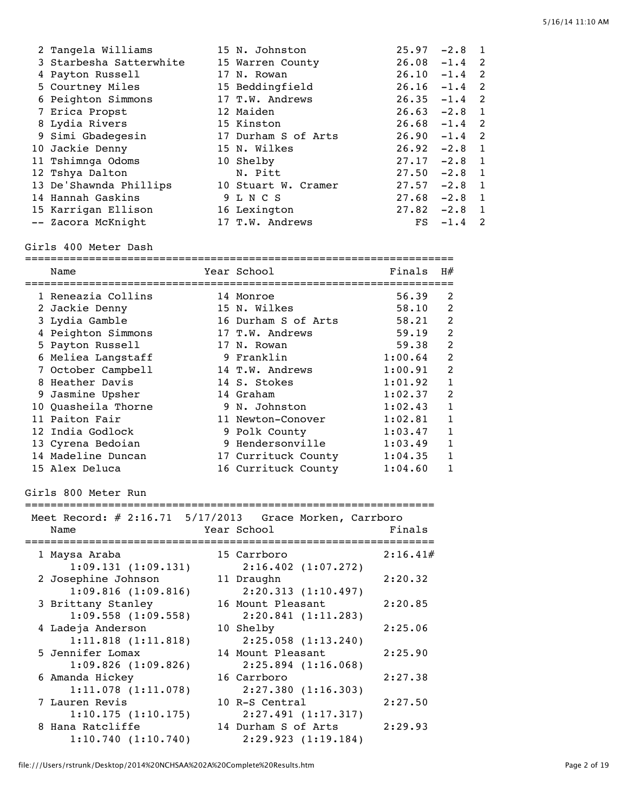| 2 Tangela Williams      | 15 N. Johnston      | 25.97 | $-2.8$   |                |
|-------------------------|---------------------|-------|----------|----------------|
| 3 Starbesha Satterwhite | 15 Warren County    | 26.08 | $-1.4$ 2 |                |
| 4 Payton Russell        | 17 N. Rowan         | 26.10 | $-1.4$   | $\overline{2}$ |
| 5 Courtney Miles        | 15 Beddingfield     | 26.16 | $-1.4$ 2 |                |
| 6 Peighton Simmons      | 17 T.W. Andrews     | 26.35 | $-1.4$   | $\overline{2}$ |
| 7 Erica Propst          | 12 Maiden           | 26.63 | $-2.8$   | $\blacksquare$ |
| 8 Lydia Rivers          | 15 Kinston          | 26.68 | $-1.4$   | $\overline{2}$ |
| 9 Simi Gbadegesin       | 17 Durham S of Arts | 26.90 | $-1.4$   | $\overline{2}$ |
| 10 Jackie Denny         | 15 N. Wilkes        | 26.92 | $-2.8$   | $\blacksquare$ |
| 11 Tshimnga Odoms       | 10 Shelby           | 27.17 | $-2.8$   | $\blacksquare$ |
| 12 Tshya Dalton         | N. Pitt             | 27.50 | $-2.8$   | $\overline{1}$ |
| 13 De'Shawnda Phillips  | 10 Stuart W. Cramer | 27.57 | $-2.8$   | $\overline{1}$ |
| 14 Hannah Gaskins       | 9 L N C S           | 27.68 | $-2.8$   | $\overline{1}$ |
| 15 Karrigan Ellison     | 16 Lexington        | 27.82 | $-2.8$   | $\overline{1}$ |
| -- Zacora McKnight      | 17 T.W. Andrews     | FS    | $-1.4$   | 2              |

#### Girls 400 Meter Dash

| Name                |  | Year School         | Finals  | H#             |  |  |  |
|---------------------|--|---------------------|---------|----------------|--|--|--|
|                     |  |                     |         |                |  |  |  |
| 1 Reneazia Collins  |  | 14 Monroe           | 56.39   | 2              |  |  |  |
| 2 Jackie Denny      |  | 15 N. Wilkes        | 58.10   | $\mathcal{L}$  |  |  |  |
| 3 Lydia Gamble      |  | 16 Durham S of Arts | 58.21   | $\overline{2}$ |  |  |  |
| 4 Peighton Simmons  |  | 17 T.W. Andrews     | 59.19   | $\mathfrak{D}$ |  |  |  |
| 5 Payton Russell    |  | 17 N. Rowan         | 59.38   | $\mathcal{L}$  |  |  |  |
| 6 Meliea Langstaff  |  | 9 Franklin          | 1:00.64 | $\mathfrak{D}$ |  |  |  |
| 7 October Campbell  |  | 14 T.W. Andrews     | 1:00.91 | $\mathcal{P}$  |  |  |  |
| 8 Heather Davis     |  | 14 S. Stokes        | 1:01.92 |                |  |  |  |
| 9 Jasmine Upsher    |  | 14 Graham           | 1:02.37 | $\mathfrak{D}$ |  |  |  |
| 10 Ouasheila Thorne |  | 9 N. Johnston       | 1:02.43 | 1              |  |  |  |
| 11 Paiton Fair      |  | 11 Newton-Conover   | 1:02.81 | 1              |  |  |  |
| 12 India Godlock    |  | 9 Polk County       | 1:03.47 | 1              |  |  |  |
| 13 Cyrena Bedoian   |  | 9 Hendersonville    | 1:03.49 | 1              |  |  |  |
| 14 Madeline Duncan  |  | 17 Currituck County | 1:04.35 |                |  |  |  |
| 15 Alex Deluca      |  | 16 Currituck County | 1:04.60 |                |  |  |  |

#### Girls 800 Meter Run

| Meet Record: $\#$ 2:16.71 5/17/2013 Grace Morken, Carrboro |
|------------------------------------------------------------|
| Finals                                                     |
|                                                            |
| 2:16.41#                                                   |
|                                                            |
| 2:20.32                                                    |
|                                                            |
| 2:20.85                                                    |
|                                                            |
| 2:25.06                                                    |
|                                                            |
| 2:25.90                                                    |
|                                                            |
| 2:27.38                                                    |
|                                                            |
| 2:27.50                                                    |
|                                                            |
| 2:29.93                                                    |
|                                                            |
|                                                            |

file:///Users/rstrunk/Desktop/2014%20NCHSAA%202A%20Complete%20Results.htm Page 2 of 19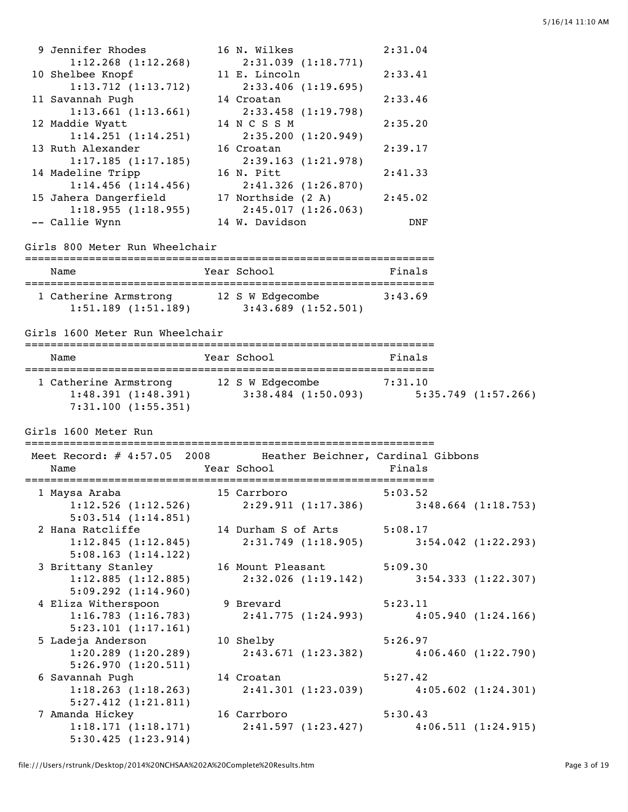| 9 Jennifer Rhodes       | 16 N. Wilkes            | 2:31.04 |
|-------------------------|-------------------------|---------|
| $1:12.268$ $(1:12.268)$ | 2:31.039(1:18.771)      |         |
| 10 Shelbee Knopf        | 11 E. Lincoln           | 2:33.41 |
| $1:13.712$ $(1:13.712)$ | $2:33.406$ $(1:19.695)$ |         |
| 11 Savannah Pugh        | 14 Croatan              | 2:33.46 |
| $1:13.661$ $(1:13.661)$ | 2:33.458(1:19.798)      |         |
| 12 Maddie Wyatt         | 14 N C S S M            | 2:35.20 |
| 1:14.251(1:14.251)      | 2:35.200(1:20.949)      |         |
| 13 Ruth Alexander       | 16 Croatan              | 2:39.17 |
| 1:17.185(1:17.185)      | 2:39.163(1:21.978)      |         |
| 14 Madeline Tripp       | 16 N. Pitt              | 2:41.33 |
| $1:14.456$ $(1:14.456)$ | $2:41.326$ $(1:26.870)$ |         |
| 15 Jahera Dangerfield   | 17 Northside (2 A)      | 2:45.02 |
| 1:18.955(1:18.955)      | 2:45.017(1:26.063)      |         |
| -- Callie Wynn          | 14 W. Davidson          | DNF     |

#### Girls 800 Meter Run Wheelchair

| Name                                             | Year School                                 | Finals  |
|--------------------------------------------------|---------------------------------------------|---------|
| 1 Catherine Armstrong<br>$1:51.189$ $(1:51.189)$ | 12 S W Edgecombe<br>$3:43.689$ $(1:52.501)$ | 3:43.69 |

## Girls 1600 Meter Run Wheelchair

| Name                                                              | Year School                                 | Finals                        |  |  |  |  |
|-------------------------------------------------------------------|---------------------------------------------|-------------------------------|--|--|--|--|
| 1 Catherine Armstrong<br>1:48.391(1:48.391)<br>7:31.100(1:55.351) | 12 S W Edgecombe<br>$3:38.484$ $(1:50.093)$ | 7:31.10<br>5:35.749(1:57.266) |  |  |  |  |

#### Girls 1600 Meter Run

#### ================================================================

| Meet Record: # 4:57.05 2008 Heather Beichner, Cardinal Gibbons<br>Name            | <b>Example 2</b> Year School <b>Primals</b> |  |
|-----------------------------------------------------------------------------------|---------------------------------------------|--|
| 1 Maysa Araba                         15 Carrboro                         5:03.52 |                                             |  |
| $1:12.526$ (1:12.526) $2:29.911$ (1:17.386) $3:48.664$ (1:18.753)                 |                                             |  |
| $5:03.514$ $(1:14.851)$                                                           |                                             |  |
| 2 Hana Ratcliffe 14 Durham S of Arts 5:08.17                                      |                                             |  |
| 1:12.845(1:12.845)                                                                | $2:31.749$ (1:18.905) 3:54.042 (1:22.293)   |  |
| 5:08.163(1:14.122)                                                                |                                             |  |
| 3 Brittany Stanley 16 Mount Pleasant 5:09.30                                      |                                             |  |
| 1:12.885(1:12.885)                                                                | 2:32.026 (1:19.142) 3:54.333 (1:22.307)     |  |
| 5:09.292(1:14.960)                                                                |                                             |  |
| 4 Eliza Witherspoon                                                               | 9 Brevard 5:23.11                           |  |
| 1:16.783(1:16.783)                                                                | 2:41.775 (1:24.993) 4:05.940 (1:24.166)     |  |
| 5:23.101 (1:17.161)                                                               |                                             |  |
| 5 Ladeja Anderson                                                                 | 10 Shelby 5:26.97                           |  |
| $1:20.289$ $(1:20.289)$                                                           | 2:43.671 (1:23.382) 4:06.460 (1:22.790)     |  |
| 5:26.970(1:20.511)                                                                |                                             |  |
| 6 Savannah Pugh                                                                   | 14 Croatan 5:27.42                          |  |
| $1:18.263$ $(1:18.263)$                                                           | 2:41.301 (1:23.039) 4:05.602 (1:24.301)     |  |
| $5:27.412$ $(1:21.811)$                                                           |                                             |  |
| 7 Amanda Hickey                       16 Carrboro                       5:30.43   |                                             |  |
| 1:18.171 (1:18.171) 2:41.597 (1:23.427) 4:06.511 (1:24.915)                       |                                             |  |
| 5:30.425(1:23.914)                                                                |                                             |  |
|                                                                                   |                                             |  |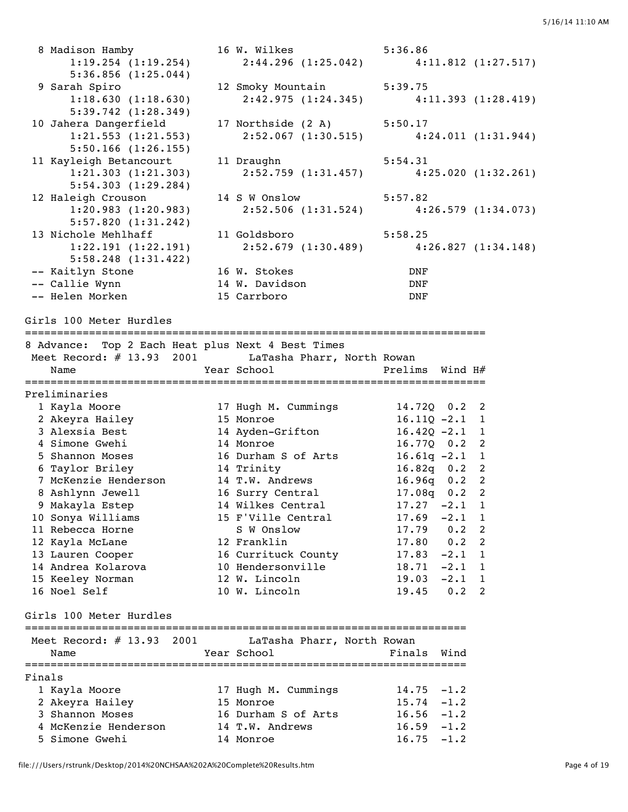|        | 8 Madison Hamby<br>$1:19.254$ $(1:19.254)$           | 16 W. Wilkes 5:36.86<br>2:44.296 (1:25.042)                                                                     |                                  | $4:11.812$ $(1:27.517)$  |
|--------|------------------------------------------------------|-----------------------------------------------------------------------------------------------------------------|----------------------------------|--------------------------|
|        | 5:36.856(1:25.044)                                   |                                                                                                                 |                                  |                          |
|        | 9 Sarah Spiro                                        | 12 Smoky Mountain                                                                                               | 5:39.75                          |                          |
|        | 1:18.630(1:18.630)                                   | 2:42.975 (1:24.345) 4:11.393 (1:28.419)                                                                         |                                  |                          |
|        | 5:39.742(1:28.349)                                   |                                                                                                                 |                                  |                          |
|        | 10 Jahera Dangerfield                                | 17 Northside (2 A)                                                                                              | 5:50.17                          |                          |
|        | $1:21.553$ $(1:21.553)$                              | $2:52.067$ (1:30.515)                                                                                           |                                  | 4:24.011(1:31.944)       |
|        | $5:50.166$ $(1:26.155)$                              |                                                                                                                 |                                  |                          |
|        | 11 Kayleigh Betancourt                               | 11 Draughn                                                                                                      | 5:54.31                          |                          |
|        | 1:21.303(1:21.303)<br>5:54.303(1:29.284)             | 2:52.759 (1:31.457)                                                                                             |                                  | 4:25.020(1:32.261)       |
|        | 12 Haleigh Crouson                                   | 14 S W Onslow                                                                                                   | 5:57.82                          |                          |
|        | 1:20.983(1:20.983)                                   | 2:52.506 (1:31.524) 4:26.579 (1:34.073)                                                                         |                                  |                          |
|        | 5:57.820(1:31.242)                                   |                                                                                                                 |                                  |                          |
|        | 13 Nichole Mehlhaff                                  | 11 Goldsboro and the state of the state of the state of the state of the state of the state of the state of the | 5:58.25                          |                          |
|        | 1:22.191(1:22.191)                                   | $2:52.679$ (1:30.489) $4:26.827$ (1:34.148)                                                                     |                                  |                          |
|        | $5:58.248$ $(1:31.422)$                              |                                                                                                                 |                                  |                          |
|        | -- Kaitlyn Stone                                     | 16 W. Stokes                                                                                                    | DNF                              |                          |
|        | -- Callie Wynn                                       | 14 W. Davidson                                                                                                  | DNF                              |                          |
|        | -- Helen Morken                                      | 15 Carrboro                                                                                                     | DNF                              |                          |
|        |                                                      |                                                                                                                 |                                  |                          |
|        | Girls 100 Meter Hurdles                              |                                                                                                                 |                                  |                          |
|        | 8 Advance: Top 2 Each Heat plus Next 4 Best Times    |                                                                                                                 |                                  |                          |
|        | Meet Record: # 13.93 2001 LaTasha Pharr, North Rowan |                                                                                                                 |                                  |                          |
|        | Name                                                 | Year School                                                                                                     | Prelims Wind H#                  |                          |
|        |                                                      |                                                                                                                 |                                  |                          |
|        | Preliminaries                                        |                                                                                                                 |                                  |                          |
|        | 1 Kayla Moore                                        | 17 Hugh M. Cummings                                                                                             | 14.720 0.2 2                     |                          |
|        | 2 Akeyra Hailey                                      | 15 Monroe                                                                                                       | $16.11Q - 2.1$ 1                 |                          |
|        | 3 Alexsia Best<br>4 Simone Gwehi                     | 14 Ayden-Grifton<br>14 Monroe                                                                                   | $16.42Q -2.1$ 1<br>16.770 0.2 2  |                          |
|        | 5 Shannon Moses                                      | 16 Durham S of Arts                                                                                             | $16.61q - 2.1$ 1                 |                          |
|        | 6 Taylor Briley                                      | 14 Trinity                                                                                                      | $16.82q$ 0.2 2                   |                          |
|        | 7 McKenzie Henderson                                 | 14 T.W. Andrews                                                                                                 | $16.96q$ 0.2                     | $\overline{\phantom{a}}$ |
|        | 8 Ashlynn Jewell                                     | 16 Surry Central                                                                                                | $17.08q$ 0.2                     | $\overline{2}$           |
|        | 9 Makayla Estep                                      | 14 Wilkes Central                                                                                               | 17.27<br>$-2.1$                  | $\mathbf{1}$             |
|        | 10 Sonya Williams                                    | 15 F'Ville Central                                                                                              | 17.69<br>$-2.1$                  | $\overline{1}$           |
|        | 11 Rebecca Horne                                     | S W Onslow                                                                                                      | 17.79<br>0.2                     | $\overline{\phantom{a}}$ |
|        | 12 Kayla McLane                                      | 12 Franklin                                                                                                     | 17.80 0.2                        | $\overline{\phantom{0}}$ |
|        | 13 Lauren Cooper                                     | 16 Currituck County                                                                                             | $17.83 - 2.1$                    | $\overline{1}$           |
|        | 14 Andrea Kolarova                                   | 10 Hendersonville                                                                                               | $18.71 - 2.1 1$                  |                          |
|        | 15 Keeley Norman                                     | 12 W. Lincoln                                                                                                   | $19.03 -2.1$ 1                   |                          |
|        | 16 Noel Self                                         | 10 W. Lincoln                                                                                                   | 19.45<br>$0.2$ 2                 |                          |
|        |                                                      |                                                                                                                 |                                  |                          |
|        | Girls 100 Meter Hurdles                              |                                                                                                                 |                                  |                          |
|        | Meet Record: $\#$ 13.93 2001                         | LaTasha Pharr, North Rowan                                                                                      |                                  |                          |
|        | Name                                                 | Year School                                                                                                     | Finals<br>Wind                   |                          |
|        |                                                      |                                                                                                                 |                                  |                          |
| Finals |                                                      |                                                                                                                 |                                  |                          |
|        | 1 Kayla Moore                                        | 17 Hugh M. Cummings<br>15 Monroe                                                                                | 14.75<br>$-1.2$<br>$15.74 - 1.2$ |                          |
|        | 2 Akeyra Hailey<br>3 Shannon Moses                   | 16 Durham S of Arts                                                                                             | $16.56 - 1.2$                    |                          |
|        | 4 McKenzie Henderson                                 | 14 T.W. Andrews                                                                                                 | $16.59 - 1.2$                    |                          |
|        | 5 Simone Gwehi                                       | 14 Monroe                                                                                                       | $16.75 - 1.2$                    |                          |
|        |                                                      |                                                                                                                 |                                  |                          |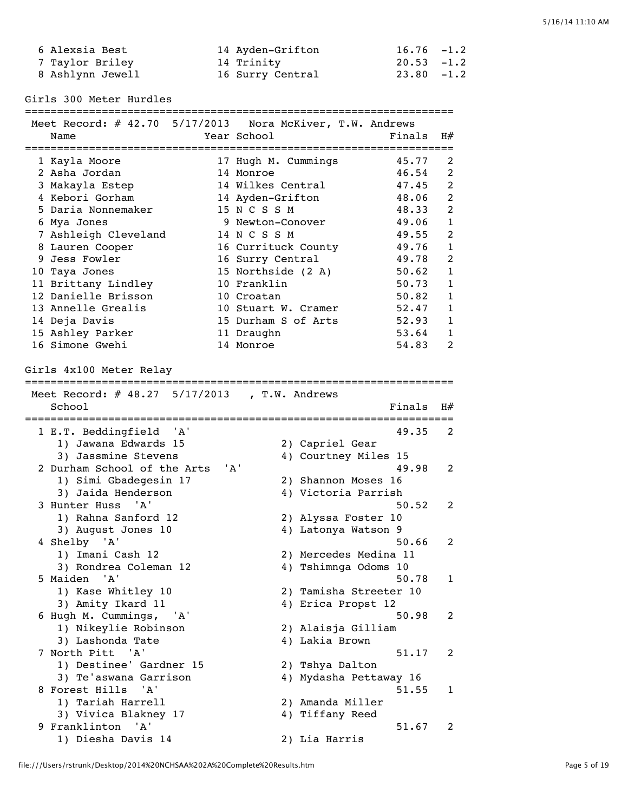| 6 Alexsia Best   | 14 Ayden-Grifton | $16.76 - 1.2$ |
|------------------|------------------|---------------|
| 7 Taylor Briley  | 14 Trinity       | $20.53 - 1.2$ |
| 8 Ashlynn Jewell | 16 Surry Central | $23.80 - 1.2$ |

Girls 300 Meter Hurdles

===================================================================

| Meet Record: # 42.70 5/17/2013 Nora McKiver, T.W. Andrews |                     |                        |        |              |
|-----------------------------------------------------------|---------------------|------------------------|--------|--------------|
| Name                                                      | Year School         |                        | Finals | H#           |
|                                                           |                     |                        |        |              |
| 1 Kayla Moore                                             | 17 Hugh M. Cummings |                        | 45.77  | 2            |
| 2 Asha Jordan                                             | 14 Monroe           |                        | 46.54  | 2            |
| 3 Makayla Estep                                           | 14 Wilkes Central   |                        | 47.45  | 2            |
| 4 Kebori Gorham                                           | 14 Ayden-Grifton    |                        | 48.06  | 2            |
| 5 Daria Nonnemaker                                        | 15 N C S S M        |                        | 48.33  | 2            |
| 6 Mya Jones                                               | 9 Newton-Conover    |                        | 49.06  | $\mathbf{1}$ |
| 7 Ashleigh Cleveland                                      | 14 N C S S M        |                        | 49.55  | 2            |
| 8 Lauren Cooper                                           | 16 Currituck County |                        | 49.76  | $\mathbf{1}$ |
| 9 Jess Fowler                                             | 16 Surry Central    |                        | 49.78  | 2            |
| 10 Taya Jones                                             | 15 Northside (2 A)  |                        | 50.62  | $\mathbf{1}$ |
| 11 Brittany Lindley                                       | 10 Franklin         |                        | 50.73  | $\mathbf{1}$ |
| 12 Danielle Brisson                                       | 10 Croatan          |                        | 50.82  | $\mathbf{1}$ |
|                                                           | 10 Stuart W. Cramer |                        |        | $\mathbf{1}$ |
| 13 Annelle Grealis                                        |                     |                        | 52.47  |              |
| 14 Deja Davis                                             | 15 Durham S of Arts |                        | 52.93  | $\mathbf{1}$ |
| 15 Ashley Parker                                          | 11 Draughn          |                        | 53.64  | 1            |
| 16 Simone Gwehi                                           | 14 Monroe           |                        | 54.83  | 2            |
|                                                           |                     |                        |        |              |
| Girls 4x100 Meter Relay                                   |                     |                        |        |              |
|                                                           |                     |                        |        |              |
| Meet Record: # 48.27 5/17/2013 , T.W. Andrews             |                     |                        |        |              |
| School                                                    |                     |                        | Finals | H#           |
|                                                           |                     |                        |        |              |
| 1 E.T. Beddingfield 'A'                                   |                     |                        | 49.35  | 2            |
| 1) Jawana Edwards 15                                      |                     | 2) Capriel Gear        |        |              |
| 3) Jassmine Stevens                                       |                     | 4) Courtney Miles 15   |        |              |
| 2 Durham School of the Arts                               | ' A '               |                        | 49.98  | 2            |
| 1) Simi Gbadegesin 17                                     |                     | 2) Shannon Moses 16    |        |              |
| 3) Jaida Henderson                                        |                     | 4) Victoria Parrish    |        |              |
| 3 Hunter Huss 'A'                                         |                     |                        | 50.52  | 2            |
| 1) Rahna Sanford 12                                       |                     | 2) Alyssa Foster 10    |        |              |
| 3) August Jones 10                                        |                     | 4) Latonya Watson 9    |        |              |
| 4 Shelby 'A'                                              |                     |                        | 50.66  | 2            |
| 1) Imani Cash 12                                          |                     | 2) Mercedes Medina 11  |        |              |
| 3) Rondrea Coleman 12                                     |                     | 4) Tshimnga Odoms 10   |        |              |
| 5 Maiden 'A'                                              |                     |                        | 50.78  | $\mathbf{1}$ |
| 1) Kase Whitley 10                                        |                     | 2) Tamisha Streeter 10 |        |              |
| 3) Amity Ikard 11                                         |                     | 4) Erica Propst 12     |        |              |
| 6 Hugh M. Cummings, 'A'                                   |                     |                        | 50.98  | 2            |
| 1) Nikeylie Robinson                                      |                     | 2) Alaisja Gilliam     |        |              |
| 3) Lashonda Tate                                          |                     | 4) Lakia Brown         |        |              |
| 7 North Pitt 'A'                                          |                     |                        |        |              |
|                                                           |                     |                        | 51.17  | 2            |
| 1) Destinee' Gardner 15                                   |                     | 2) Tshya Dalton        |        |              |
| 3) Te'aswana Garrison                                     |                     | 4) Mydasha Pettaway 16 |        |              |
| 8 Forest Hills<br>'A'                                     |                     |                        | 51.55  | 1            |
| 1) Tariah Harrell                                         |                     | 2) Amanda Miller       |        |              |
| 3) Vivica Blakney 17                                      |                     | 4) Tiffany Reed        |        |              |
| 9 Franklinton 'A'                                         |                     |                        | 51.67  | 2            |
| 1) Diesha Davis 14                                        |                     | 2) Lia Harris          |        |              |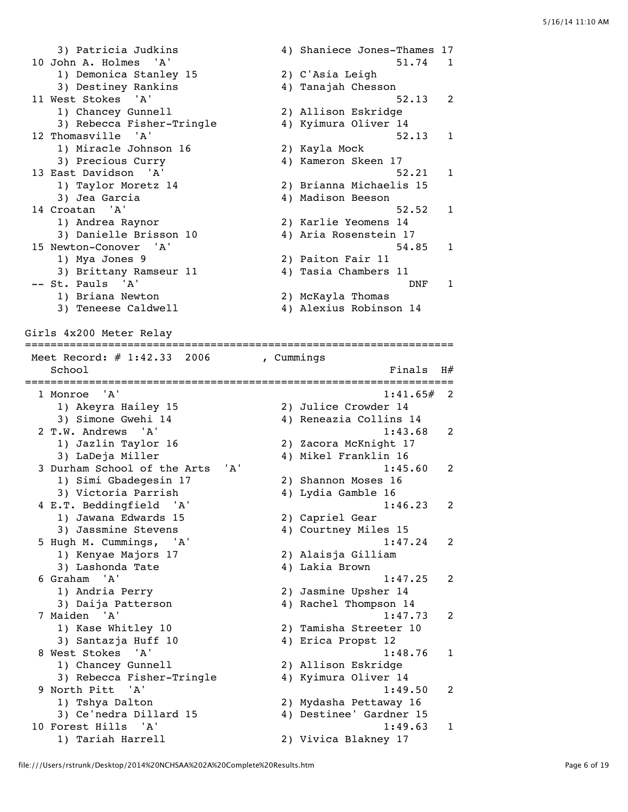3) Patricia Judkins (4) Shaniece Jones-Thames 17 10 John A. Holmes 'A' 51.74 1 1) Demonica Stanley 15 2) C'Asia Leigh 3) Destiney Rankins 4) Tanajah Chesson 11 West Stokes 'A' 52.13 2 1) Chancey Gunnell 2) Allison Eskridge 3) Rebecca Fisher-Tringle 4) Kyimura Oliver 14 12 Thomasville 'A' 52.13 1 1) Miracle Johnson 16 2) Kayla Mock 3) Precious Curry (4) Kameron Skeen 17 13 East Davidson 'A' 52.21 1 1) Taylor Moretz 14 2) Brianna Michaelis 15 3) Jea Garcia 4) Madison Beeson 14 Croatan 'A' 52.52 1 1) Andrea Raynor 2) Karlie Yeomens 14 3) Danielle Brisson 10 4) Aria Rosenstein 17 15 Newton-Conover 'A' 54.85 1 1) Mya Jones 9 2) Paiton Fair 11 3) Brittany Ramseur 11 4) Tasia Chambers 11 -- St. Pauls 'A' DNF 1 1) Briana Newton 2) McKayla Thomas 1) Briana Newton (2) McKayla Thomas<br>3) Teneese Caldwell (4) Alexius Robinson 14 Girls 4x200 Meter Relay =================================================================== Meet Record: # 1:42.33 2006 , Cummings  $School$   $Finals$   $H#$ =================================================================== 1 Monroe 'A' 1:41.65# 2 1) Akeyra Hailey 15 2) Julice Crowder 14 3) Simone Gwehi 14 4) Reneazia Collins 14 2 T.W. Andrews 'A' 1:43.68 2 1) Jazlin Taylor 16 2) Zacora McKnight 17 3) LaDeja Miller 4) Mikel Franklin 16 3 Durham School of the Arts 'A' 1:45.60 1) Simi Gbadegesin 17 1) Simi Gbadegesin 17 (2) Shannon Moses 16<br>3) Victoria Parrish (4) Lydia Gamble 16 4 E.T. Beddingfield 'A' 1:46.23 2 1) Jawana Edwards 15 2) Capriel Gear 3) Jassmine Stevens 4) Courtney Miles 15 5 Hugh M. Cummings, 'A' 1:47.24 2 1) Kenyae Majors 17 2) Alaisja Gilliam 3) Lashonda Tate 4) Lakia Brown 6 Graham 'A' 1:47.25 2 1) Andria Perry 2) Jasmine Upsher 14 3) Daija Patterson 4) Rachel Thompson 14 7 Maiden 'A' 1:47.73 2 1) Kase Whitley 10 2) Tamisha Streeter 10 3) Santazja Huff 10 <a>4) Erica Propst 12 8 West Stokes 'A' 1:48.76 1 1) Chancey Gunnell 2) Allison Eskridge 3) Rebecca Fisher-Tringle 4) Kyimura Oliver 14 9 North Pitt 'A' 1:49.50 2 1) Tshya Dalton 2) Mydasha Pettaway 16 3) Ce'nedra Dillard 15 4) Destinee' Gardner 15 10 Forest Hills 'A' 11:49.63 1 1) Tariah Harrell 2) Vivica Blakney 17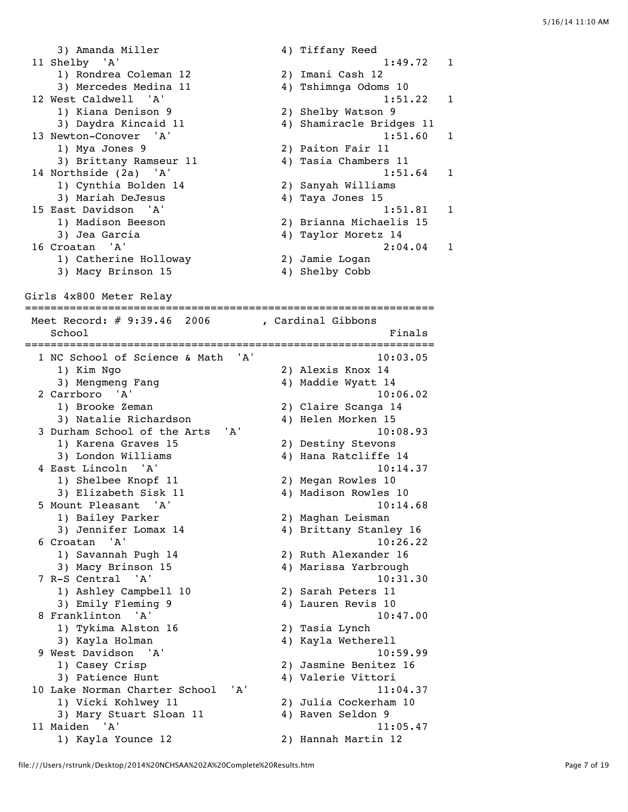3) Amanda Miller 4) Tiffany Reed 11 Shelby 'A' 1:49.72 1 1) Rondrea Coleman 12 2) Imani Cash 12 3) Mercedes Medina 11 4) Tshimnga Odoms 10 12 West Caldwell 'A' 1:51.22 1 1) Kiana Denison 9 2) Shelby Watson 9 3) Daydra Kincaid 11 4) Shamiracle Bridges 11 13 Newton-Conover 'A' 1:51.60 1<br>
1) Mya Jones 9 2) Paiton Fair 11 1) Mya Jones 9 2) Paiton Fair 11 3) Brittany Ramseur 11 4) Tasia Chambers 11 14 Northside (2a) 'A' 1:51.64 1 1) Cynthia Bolden 14 2) Sanyah Williams 3) Mariah DeJesus 4) Taya Jones 15 15 East Davidson 'A' 1:51.81 1 1) Madison Beeson 2) Brianna Michaelis 15 3) Jea Garcia 4) Taylor Moretz 14 16 Croatan 'A' 2:04.04 1 1) Catherine Holloway 2) Jamie Logan 3) Macy Brinson 15 4) Shelby Cobb

Girls 4x800 Meter Relay

================================================================ Meet Record: # 9:39.46 2006 , Cardinal Gibbons School **Finals** ================================================================ 1 NC School of Science & Math 'A' 10:03.05 1) Kim Ngo 2) Alexis Knox 14 3) Mengmeng Fang 1988 (2008) 4) Maddie Wyatt 14 2 Carrboro 'A' 10:06.02<br>1) Brooke Zeman 2) Claire Scanga 14 1) Brooke Zeman 2) Claire Scanga 14 3) Natalie Richardson 4) Helen Morken 15 3 Durham School of the Arts 'A' 10:08.93<br>1) Karena Graves 15 (2) Destiny Stevons 1) Karena Graves 15 3) London Williams 4) Hana Ratcliffe 14 4 East Lincoln 'A' 10:14.37 1) Shelbee Knopf 11 2) Megan Rowles 10 3) Elizabeth Sisk 11 4) Madison Rowles 10 5 Mount Pleasant 'A' 10:14.68 1) Bailey Parker 2) Maghan Leisman 3) Jennifer Lomax 14 4) Brittany Stanley 16 6 Croatan 'A' 10:26.22 1) Savannah Pugh 14 2) Ruth Alexander 16 3) Macy Brinson 15 4) Marissa Yarbrough 7 R-S Central 'A' 10:31.30 1) Ashley Campbell 10 2) Sarah Peters 11 3) Emily Fleming 9 4) Lauren Revis 10 8 Franklinton 'A' 10:47.00 1) Tykima Alston 16 2) Tasia Lynch 3) Kayla Holman 4) Kayla Wetherell 9 West Davidson 'A' 10:59.99 1) Casey Crisp 2) Jasmine Benitez 16 3) Patience Hunt 1992 (4) Valerie Vittori 10 Lake Norman Charter School 'A' 11:04.37<br>1) Vicki Kohlwey 11 2) Julia Cockerham 10<br>3) Mary Stuart Sloan 11 4) Raven Seldon 9 1) Vicki Kohlwey 11 2) Julia Cockerham 10 3) Mary Stuart Sloan 11 <a>4) Raven Seldon 9 11 Maiden 'A' 11:05.47

1) Kayla Younce 12 2) Hannah Martin 12

file:///Users/rstrunk/Desktop/2014%20NCHSAA%202A%20Complete%20Results.htm Page 7 of 19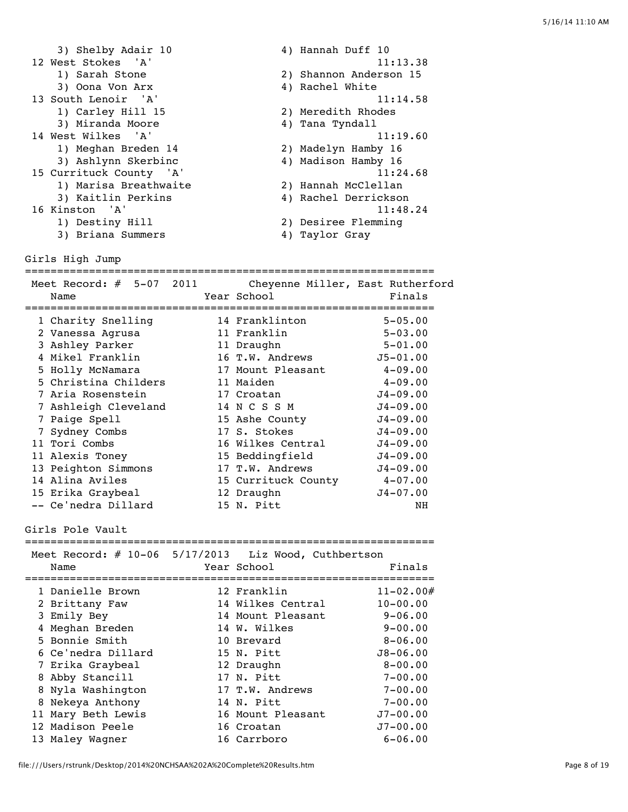| 3) Shelby Adair 10      | 4) Hannah Duff 10      |
|-------------------------|------------------------|
| 12 West Stokes 'A'      | 11:13.38               |
| 1) Sarah Stone          | 2) Shannon Anderson 15 |
| 3) Oona Von Arx         | 4) Rachel White        |
| 13 South Lenoir 'A'     | 11:14.58               |
| 1) Carley Hill 15       | 2) Meredith Rhodes     |
| 3) Miranda Moore        | 4) Tana Tyndall        |
| 14 West Wilkes 'A'      | 11:19.60               |
| 1) Meghan Breden 14     | 2) Madelyn Hamby 16    |
| 3) Ashlynn Skerbinc     | 4) Madison Hamby 16    |
| 15 Currituck County 'A' | 11:24.68               |
| 1) Marisa Breathwaite   | 2) Hannah McClellan    |
| 3) Kaitlin Perkins      | 4) Rachel Derrickson   |
| 16 Kinston 'A'          | 11:48.24               |
| 1) Destiny Hill         | 2) Desiree Flemming    |
| 3) Briana Summers       | 4) Taylor Gray         |

================================================================

Girls High Jump

Meet Record: # 5-07 2011 Cheyenne Miller, East Rutherford Name Year School Finals ================================================================ 1 Charity Snelling 14 Franklinton 5-05.00 2 Vanessa Agrusa 11 Franklin 5-03.00 3 Ashley Parker 11 Draughn 5-01.00 4 Mikel Franklin 16 T.W. Andrews J5-01.00

| 5 Holly McNamara     | 17 Mount Pleasant   | $4 - 09.00$  |
|----------------------|---------------------|--------------|
| 5 Christina Childers | 11 Maiden           | $4 - 09.00$  |
| 7 Aria Rosenstein    | 17 Croatan          | $J4 - 09.00$ |
| 7 Ashleigh Cleveland | 14 N C S S M        | $J4 - 09.00$ |
| 7 Paige Spell        | 15 Ashe County      | $J4 - 09.00$ |
| 7 Sydney Combs       | 17 S. Stokes        | $J4 - 09.00$ |
| 11 Tori Combs        | 16 Wilkes Central   | $J4 - 09.00$ |
| 11 Alexis Toney      | 15 Beddingfield     | $J4 - 09.00$ |
| 13 Peighton Simmons  | 17 T.W. Andrews     | $J4 - 09.00$ |
| 14 Alina Aviles      | 15 Currituck County | $4 - 07.00$  |
| 15 Erika Graybeal    | 12 Draughn          | $J4 - 07.00$ |
| -- Ce'nedra Dillard  | 15 N. Pitt          | NΗ           |

Girls Pole Vault

| Meet Record: # 10-06 5/17/2013 Liz Wood, Cuthbertson<br>Name | Year School       | Finals        |
|--------------------------------------------------------------|-------------------|---------------|
| 1 Danielle Brown                                             | 12 Franklin       | $11 - 02.00#$ |
| 2 Brittany Faw                                               | 14 Wilkes Central | $10 - 00.00$  |
| 3 Emily Bey                                                  | 14 Mount Pleasant | $9 - 06.00$   |
| 4 Meghan Breden                                              | 14 W. Wilkes      | $9 - 00.00$   |
| 5 Bonnie Smith                                               | 10 Brevard        | $8 - 06.00$   |
| 6 Ce'nedra Dillard                                           | 15 N. Pitt        | $J8 - 06.00$  |
| 7 Erika Graybeal                                             | 12 Draughn        | $8 - 00.00$   |
| 8 Abby Stancill                                              | 17 N. Pitt        | $7 - 00.00$   |
| 8 Nyla Washington                                            | 17 T.W. Andrews   | $7 - 00.00$   |
| 8 Nekeya Anthony                                             | 14 N. Pitt        | $7 - 00.00$   |
| 11 Mary Beth Lewis                                           | 16 Mount Pleasant | $J7 - 00.00$  |
| 12 Madison Peele                                             | 16 Croatan        | $J7 - 00.00$  |
| 13 Maley Wagner                                              | 16 Carrboro       | $6 - 06.00$   |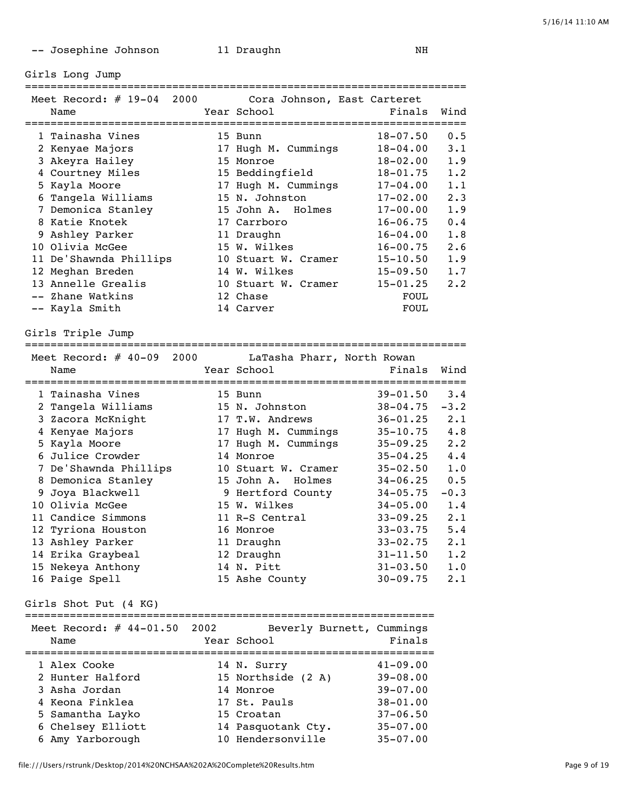-- Josephine Johnson 11 Draughn 11 NH

Girls Long Jump

=====================================================================

| Meet Record: $\#$ 19-04<br>2000 | Cora Johnson, East Carteret |              |             |
|---------------------------------|-----------------------------|--------------|-------------|
| Name                            | Year School                 | Finals       | Wind        |
|                                 | ==================          |              |             |
| 1 Tainasha Vines                | 15 Bunn                     | $18 - 07.50$ | 0.5         |
| 2 Kenyae Majors                 | 17 Hugh M. Cummings         | $18 - 04.00$ | $3 \cdot 1$ |
| 3 Akeyra Hailey                 | 15 Monroe                   | $18 - 02.00$ | 1.9         |
| 4 Courtney Miles                | 15 Beddingfield             | $18 - 01.75$ | 1.2         |
| 5 Kayla Moore                   | 17 Hugh M. Cummings         | $17 - 04.00$ | 1.1         |
| 6 Tangela Williams              | 15 N. Johnston              | $17 - 02.00$ | $2 \cdot 3$ |
| 7 Demonica Stanley              | 15 John A. Holmes           | $17 - 00.00$ | 1.9         |
| 8 Katie Knotek                  | 17 Carrboro                 | $16 - 06.75$ | 0.4         |
| 9 Ashley Parker                 | 11 Draughn                  | $16 - 04.00$ | 1.8         |
| 10 Olivia McGee                 | 15 W. Wilkes                | $16 - 00.75$ | 2.6         |
| 11 De'Shawnda Phillips          | 10 Stuart W. Cramer         | $15 - 10.50$ | 1.9         |
| 12 Meghan Breden                | 14 W. Wilkes                | $15 - 09.50$ | 1.7         |
| 13 Annelle Grealis              | 10 Stuart W. Cramer         | $15 - 01.25$ | $2 \cdot 2$ |
| -- Zhane Watkins                | 12 Chase                    | <b>FOUL</b>  |             |
| -- Kayla Smith                  | 14 Carver                   | <b>FOUL</b>  |             |

Girls Triple Jump

===================================================================== Meet Record: # 40-09 2000 LaTasha Pharr, North Rowan Name The Year School Controll of Finals Wind ===================================================================== 1 Tainasha Vines 15 Bunn 39-01.50 3.4 2 Tangela Williams 15 N. Johnston 38-04.75 -3.2 3 Zacora McKnight 17 T.W. Andrews 36-01.25 2.1 4 Kenyae Majors 17 Hugh M. Cummings 35-10.75 4.8 5 Kayla Moore 17 Hugh M. Cummings 35-09.25 2.2 6 Julice Crowder 14 Monroe 35-04.25 4.4 7 De'Shawnda Phillips 10 Stuart W. Cramer 35-02.50 1.0 8 Demonica Stanley 15 John A. Holmes 34-06.25 0.5 9 Joya Blackwell 9 Hertford County 34-05.75 -0.3 10 Olivia McGee 15 W. Wilkes 34-05.00 1.4 11 Candice Simmons 11 R-S Central 33-09.25 2.1 12 Tyriona Houston 16 Monroe 33-03.75 5.4 13 Ashley Parker 11 Draughn 33-02.75 2.1 14 Erika Graybeal 12 Draughn 31-11.50 1.2 15 Nekeya Anthony 14 N. Pitt 31-03.50 1.0 16 Paige Spell 15 Ashe County 30-09.75 2.1

Girls Shot Put (4 KG)

| Meet Record: $\#$ 44-01.50 2002<br>Name | Beverly Burnett, Cummings<br>Year School | Finals       |
|-----------------------------------------|------------------------------------------|--------------|
| 1 Alex Cooke                            | 14 N. Surry                              | $41 - 09.00$ |
| 2 Hunter Halford                        | 15 Northside (2 A)                       | $39 - 08.00$ |
| 3 Asha Jordan                           | 14 Monroe                                | $39 - 07.00$ |
| 4 Keona Finklea                         | 17 St. Pauls                             | $38 - 01.00$ |
| 5 Samantha Layko                        | 15 Croatan                               | $37 - 06.50$ |
| 6 Chelsey Elliott                       | 14 Pasquotank Cty.                       | $35 - 07.00$ |
| 6 Amy Yarborough                        | 10 Hendersonville                        | $35 - 07.00$ |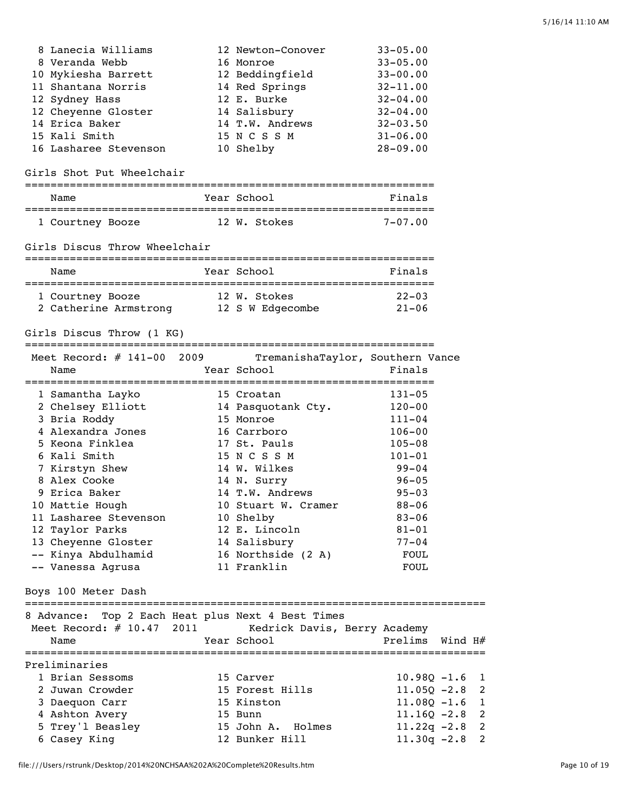| 8 Lanecia Williams    | 12 Newton-Conover | $33 - 05.00$ |
|-----------------------|-------------------|--------------|
| 8 Veranda Webb        | 16 Monroe         | $33 - 05.00$ |
| 10 Mykiesha Barrett   | 12 Beddingfield   | $33 - 00.00$ |
| 11 Shantana Norris    | 14 Red Springs    | $32 - 11.00$ |
| 12 Sydney Hass        | 12 E. Burke       | $32 - 04.00$ |
| 12 Cheyenne Gloster   | 14 Salisbury      | $32 - 04.00$ |
| 14 Erica Baker        | 14 T.W. Andrews   | $32 - 03.50$ |
| 15 Kali Smith         | 15 N C S S M      | $31 - 06.00$ |
| 16 Lasharee Stevenson | 10 Shelby         | $28 - 09.00$ |

## Girls Shot Put Wheelchair

| Name             | Year School  | Finals      |
|------------------|--------------|-------------|
|                  |              |             |
| 1 Courtney Booze | 12 W. Stokes | $7 - 07.00$ |

#### Girls Discus Throw Wheelchair

| Name                                      | Year School                      | Finals                  |
|-------------------------------------------|----------------------------------|-------------------------|
| 1 Courtney Booze<br>2 Catherine Armstrong | 12 W. Stokes<br>12 S W Edgecombe | $22 - 0.3$<br>$21 - 06$ |

## Girls Discus Throw (1 KG)

| Meet Record: # 141-00 2009<br>Name   | TremanishaTaylor, Southern Vance<br>Year School | Finals     |
|--------------------------------------|-------------------------------------------------|------------|
| 1 Samantha Layko                     | 15 Croatan                                      | $131 - 05$ |
| 2 Chelsey Elliott 14 Pasquotank Cty. |                                                 | $120 - 00$ |
| 3 Bria Roddy                         | 15 Monroe                                       | $111 - 04$ |
| 4 Alexandra Jones                    | 16 Carrboro                                     | $106 - 00$ |
| 5 Keona Finklea                      | 17 St. Pauls                                    | $105 - 08$ |
| 6 Kali Smith                         | 15 N C S S M                                    | $101 - 01$ |
| 7 Kirstyn Shew                       | 14 W. Wilkes                                    | $99 - 04$  |
| 8 Alex Cooke                         | 14 N. Surry                                     | $96 - 05$  |
| 9 Erica Baker                        | 14 T.W. Andrews                                 | $95 - 03$  |
| 10 Mattie Hough                      | 10 Stuart W. Cramer                             | $88 - 06$  |
| 11 Lasharee Stevenson                | 10 Shelby                                       | $83 - 06$  |
| 12 Taylor Parks                      | 12 E. Lincoln                                   | $81 - 01$  |
| 13 Cheyenne Gloster                  | 14 Salisbury                                    | $77 - 04$  |
| -- Kinya Abdulhamid                  | 16 Northside (2 A)                              | FOUL       |
| -- Vanessa Agrusa                    | 11 Franklin                                     | FOUL       |

| 8 Advance: Top 2 Each Heat plus Next 4 Best Times<br>Meet Record: # 10.47 2011<br>Name | Kedrick Davis, Berry Academy<br>Year School | Prelims Wind H#  |  |
|----------------------------------------------------------------------------------------|---------------------------------------------|------------------|--|
| Preliminaries                                                                          |                                             |                  |  |
| 1 Brian Sessoms                                                                        | 15 Carver                                   | $10.980 - 1.6$ 1 |  |
| 2 Juwan Crowder                                                                        | 15 Forest Hills                             | $11.05Q - 2.8$ 2 |  |
| 3 Daequon Carr                                                                         | 15 Kinston                                  | $11.080 - 1.6$ 1 |  |
| 4 Ashton Avery                                                                         | 15 Bunn                                     | $11.160 - 2.8$ 2 |  |
| 5 Trey'l Beasley                                                                       | 15 John A. Holmes                           | $11.22q -2.8$ 2  |  |
| 6 Casey King                                                                           | 12 Bunker Hill                              | $11.30q - 2.8$ 2 |  |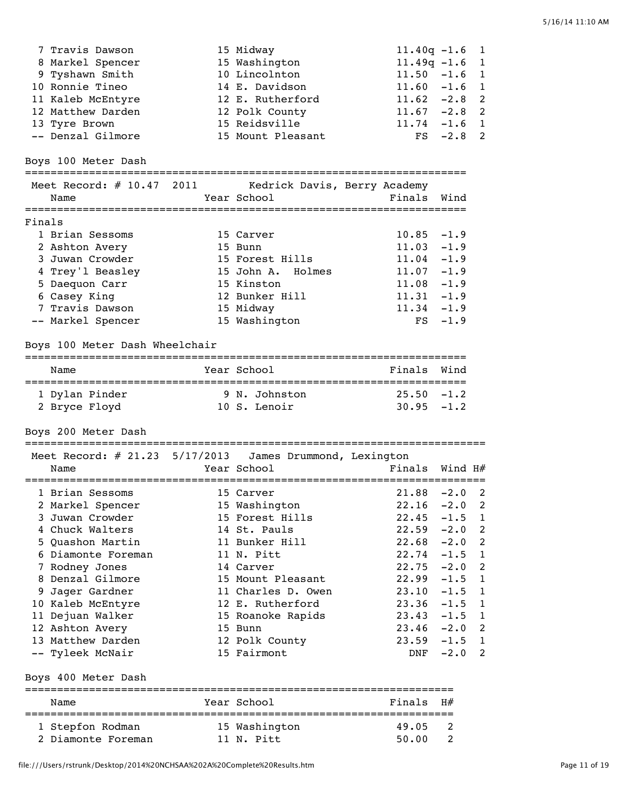| 7 Travis Dawson<br>15 Midway<br>$11.40q - 1.6$<br>15 Washington<br>$11.49q - 1.6$<br>8 Markel Spencer<br>10 Lincolnton<br>$11.50 - 1.6$<br>9 Tyshawn Smith<br>10 Ronnie Tineo<br>14 E. Davidson<br>$11.60 - 1.6$<br>$11.62 -2.8$<br>11 Kaleb McEntyre<br>12 E. Rutherford<br>$11.67 - 2.8$<br>12 Matthew Darden<br>12 Polk County<br>$11.74 - 1.6$ 1<br>15 Reidsville<br>13 Tyre Brown<br>-- Denzal Gilmore<br>15 Mount Pleasant<br>$FS -2.8$<br>Boys 100 Meter Dash |          | 1<br>1<br>1<br>1<br>2<br>2<br>2 |
|----------------------------------------------------------------------------------------------------------------------------------------------------------------------------------------------------------------------------------------------------------------------------------------------------------------------------------------------------------------------------------------------------------------------------------------------------------------------|----------|---------------------------------|
| Meet Record: # 10.47 2011<br>Kedrick Davis, Berry Academy                                                                                                                                                                                                                                                                                                                                                                                                            |          |                                 |
| Year School<br>Finals Wind<br>Name                                                                                                                                                                                                                                                                                                                                                                                                                                   |          |                                 |
| Finals                                                                                                                                                                                                                                                                                                                                                                                                                                                               |          |                                 |
| 1 Brian Sessoms<br>$10.85 - 1.9$<br>15 Carver                                                                                                                                                                                                                                                                                                                                                                                                                        |          |                                 |
| $11.03 - 1.9$<br>2 Ashton Avery<br>15 Bunn                                                                                                                                                                                                                                                                                                                                                                                                                           |          |                                 |
| 3 Juwan Crowder<br>15 Forest Hills<br>$11.04 - 1.9$                                                                                                                                                                                                                                                                                                                                                                                                                  |          |                                 |
| 4 Trey'l Beasley<br>15 John A. Holmes<br>$11.07 - 1.9$                                                                                                                                                                                                                                                                                                                                                                                                               |          |                                 |
| $11.08 - 1.9$<br>5 Daequon Carr<br>15 Kinston                                                                                                                                                                                                                                                                                                                                                                                                                        |          |                                 |
| 6 Casey King<br>12 Bunker Hill<br>$11.31 - 1.9$<br>7 Travis Dawson<br>$11.34 - 1.9$                                                                                                                                                                                                                                                                                                                                                                                  |          |                                 |
| 15 Midway<br>-- Markel Spencer<br>15 Washington<br>FS                                                                                                                                                                                                                                                                                                                                                                                                                | $-1.9$   |                                 |
|                                                                                                                                                                                                                                                                                                                                                                                                                                                                      |          |                                 |
| Boys 100 Meter Dash Wheelchair                                                                                                                                                                                                                                                                                                                                                                                                                                       |          |                                 |
|                                                                                                                                                                                                                                                                                                                                                                                                                                                                      |          |                                 |
| Year School<br>Finals<br>Name                                                                                                                                                                                                                                                                                                                                                                                                                                        | Wind     |                                 |
| 1 Dylan Pinder<br>9 N. Johnston<br>$25.50 - 1.2$                                                                                                                                                                                                                                                                                                                                                                                                                     |          |                                 |
| $30.95 - 1.2$<br>2 Bryce Floyd<br>10 S. Lenoir                                                                                                                                                                                                                                                                                                                                                                                                                       |          |                                 |
|                                                                                                                                                                                                                                                                                                                                                                                                                                                                      |          |                                 |
| Boys 200 Meter Dash                                                                                                                                                                                                                                                                                                                                                                                                                                                  |          |                                 |
| Meet Record: # 21.23 5/17/2013 James Drummond, Lexington                                                                                                                                                                                                                                                                                                                                                                                                             |          |                                 |
| Year School<br>Finals<br>Name                                                                                                                                                                                                                                                                                                                                                                                                                                        | Wind H#  |                                 |
| :================<br>-----------<br>$21.88 - 2.0$<br>1 Brian Sessoms<br>15 Carver                                                                                                                                                                                                                                                                                                                                                                                    |          | 2                               |
| 22.16<br>2 Markel Spencer<br>15 Washington                                                                                                                                                                                                                                                                                                                                                                                                                           | $-2.0$   | 2                               |
| 3 Juwan Crowder<br>15 Forest Hills<br>22.45                                                                                                                                                                                                                                                                                                                                                                                                                          | $-1.5$ 1 |                                 |
| 4 Chuck Walters<br>14 St. Pauls<br>$22.59 - 2.0$ 2                                                                                                                                                                                                                                                                                                                                                                                                                   |          |                                 |
| 5 Quashon Martin<br>11 Bunker Hill<br>$22.68 - 2.0$                                                                                                                                                                                                                                                                                                                                                                                                                  |          | 2                               |
| 11 N. Pitt<br>6 Diamonte Foreman<br>$22.74 - 1.5$ 1                                                                                                                                                                                                                                                                                                                                                                                                                  |          |                                 |
| 7 Rodney Jones<br>14 Carver<br>$22.75 - 2.0$                                                                                                                                                                                                                                                                                                                                                                                                                         |          | 2                               |
| 8 Denzal Gilmore<br>15 Mount Pleasant<br>22.99                                                                                                                                                                                                                                                                                                                                                                                                                       | $-1.5$   | 1                               |
| 9 Jager Gardner<br>11 Charles D. Owen<br>$23.10 - 1.5$                                                                                                                                                                                                                                                                                                                                                                                                               |          | 1                               |
| 12 E. Rutherford<br>10 Kaleb McEntyre<br>$23.36 - 1.5$                                                                                                                                                                                                                                                                                                                                                                                                               |          | 1                               |
| 11 Dejuan Walker<br>15 Roanoke Rapids<br>$23.43 - 1.5$ 1                                                                                                                                                                                                                                                                                                                                                                                                             |          |                                 |
| 12 Ashton Avery<br>$23.46 - 2.0$ 2<br>15 Bunn                                                                                                                                                                                                                                                                                                                                                                                                                        |          |                                 |
| 13 Matthew Darden<br>$23.59 - 1.5 1$<br>12 Polk County                                                                                                                                                                                                                                                                                                                                                                                                               |          |                                 |
| -- Tyleek McNair<br>15 Fairmont<br>DNF                                                                                                                                                                                                                                                                                                                                                                                                                               | $-2.0$   | 2                               |
| Boys 400 Meter Dash                                                                                                                                                                                                                                                                                                                                                                                                                                                  |          |                                 |

Name Year School Finals H# =================================================================== 1 Stepfon Rodman 15 Washington 19.05 2 2 Diamonte Foreman 11 N. Pitt 50.00 2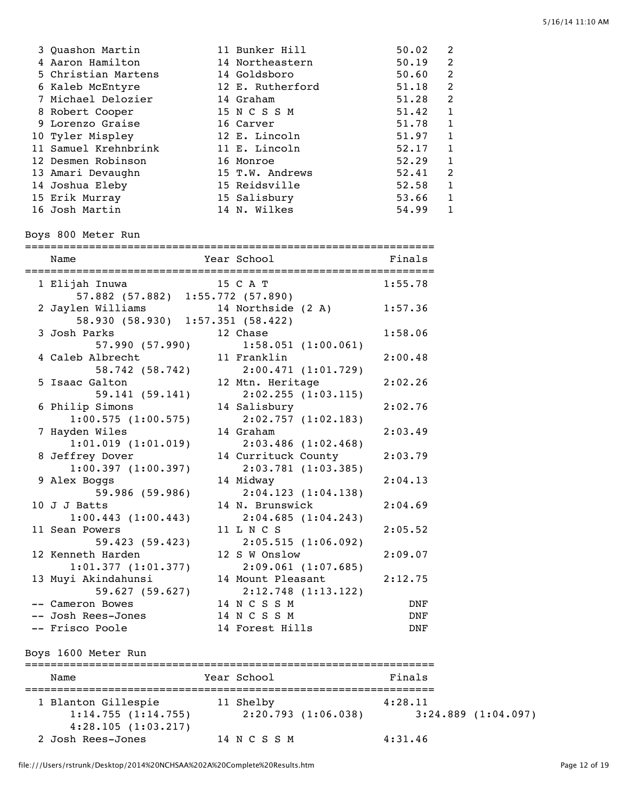| 3 Quashon Martin     | 11 Bunker Hill   | 50.02 | $\mathcal{L}$  |
|----------------------|------------------|-------|----------------|
| 4 Aaron Hamilton     | 14 Northeastern  | 50.19 | $\mathfrak{D}$ |
| 5 Christian Martens  | 14 Goldsboro     | 50.60 | $\mathfrak{D}$ |
| 6 Kaleb McEntyre     | 12 E. Rutherford | 51.18 | 2              |
| 7 Michael Delozier   | 14 Graham        | 51.28 | 2              |
| 8 Robert Cooper      | 15 N C S S M     | 51.42 |                |
| 9 Lorenzo Graise     | 16 Carver        | 51.78 |                |
| 10 Tyler Mispley     | 12 E. Lincoln    | 51.97 | 1              |
| 11 Samuel Krehnbrink | 11 E. Lincoln    | 52.17 |                |
| 12 Desmen Robinson   | 16 Monroe        | 52.29 |                |
| 13 Amari Devaughn    | 15 T.W. Andrews  | 52.41 | $\mathfrak{D}$ |
| 14 Joshua Eleby      | 15 Reidsville    | 52.58 |                |
| 15 Erik Murray       | 15 Salisbury     | 53.66 |                |
| 16 Josh Martin       | 14 N. Wilkes     | 54.99 |                |

## Boys 800 Meter Run

================================================================

| Name                              | Year School             | Finals  |
|-----------------------------------|-------------------------|---------|
| 1 Elijah Inuwa                    | 15 C A T                | 1:55.78 |
| 57.882 (57.882) 1:55.772 (57.890) |                         |         |
| 2 Jaylen Williams                 | 14 Northside (2 A)      | 1:57.36 |
| 58.930 (58.930) 1:57.351 (58.422) |                         |         |
| 3 Josh Parks                      | 12 Chase                | 1:58.06 |
| 57.990 (57.990)                   | 1:58.051(1:00.061)      |         |
| 4 Caleb Albrecht                  | 11 Franklin             | 2:00.48 |
| 58.742 (58.742)                   | 2:00.471 (1:01.729)     |         |
| 5 Isaac Galton                    | 12 Mtn. Heritage        | 2:02.26 |
| 59.141 (59.141)                   | 2:02.255(1:03.115)      |         |
| 6 Philip Simons                   | 14 Salisbury            | 2:02.76 |
| 1:00.575(1:00.575)                | 2:02.757(1:02.183)      |         |
| 7 Hayden Wiles                    | 14 Graham               | 2:03.49 |
| $1:01.019$ $(1:01.019)$           | $2:03.486$ $(1:02.468)$ |         |
| 8 Jeffrey Dover                   | 14 Currituck County     | 2:03.79 |
| 1:00.397(1:00.397)                | $2:03.781$ (1:03.385)   |         |
| 9 Alex Boggs                      | 14 Midway               | 2:04.13 |
| 59.986 (59.986)                   | 2:04.123(1:04.138)      |         |
| 10 J J Batts                      | 14 N. Brunswick         | 2:04.69 |
| 1:00.443(1:00.443)                | 2:04.685(1:04.243)      |         |
| 11 Sean Powers                    | 11 L N C S              | 2:05.52 |
| 59.423 (59.423)                   | 2:05.515(1:06.092)      |         |
| 12 Kenneth Harden                 | 12 S W Onslow           | 2:09.07 |
| 1:01.377(1:01.377)                | 2:09.061(1:07.685)      |         |
| 13 Muyi Akindahunsi               | 14 Mount Pleasant       | 2:12.75 |
| 59.627(59.627)                    | 2:12.748(1:13.122)      |         |
| -- Cameron Bowes                  | 14 N C S S M            | DNF     |
| -- Josh Rees-Jones                | 14 N C S S M            | DNF     |
| -- Frisco Poole                   | 14 Forest Hills         | DNF     |
|                                   |                         |         |

# Boys 1600 Meter Run

| Name                                                            | Year School  | Finals                                                   |
|-----------------------------------------------------------------|--------------|----------------------------------------------------------|
| 1 Blanton Gillespie<br>1:14.755(1:14.755)<br>4:28.105(1:03.217) | 11 Shelby    | 4:28.11<br>2:20.793(1:06.038)<br>$3:24.889$ $(1:04.097)$ |
| 2 Josh Rees-Jones                                               | 14 N C S S M | 4:31.46                                                  |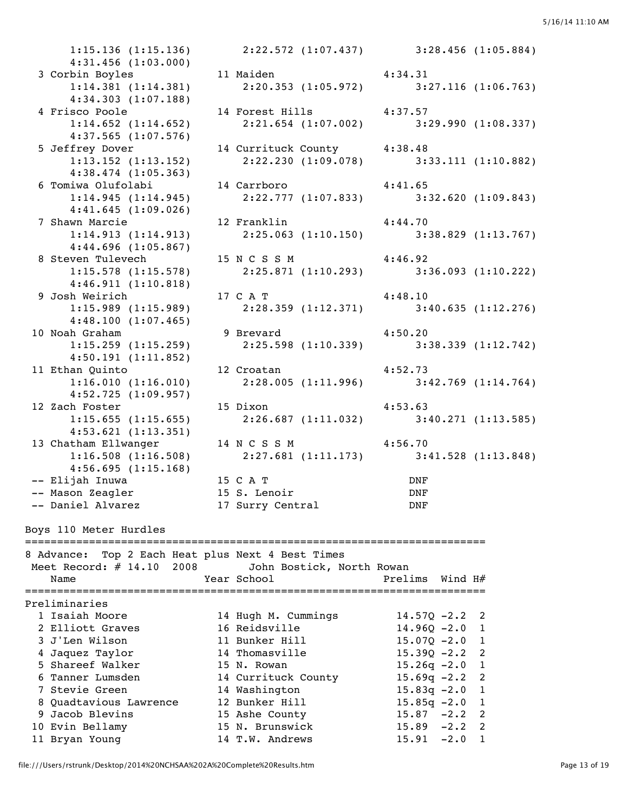4:31.456 (1:03.000) 4:34.303 (1:07.188) 4:37.565 (1:07.576) 4:38.474 (1:05.363) 4:41.645 (1:09.026) 4:44.696 (1:05.867) 4:46.911 (1:10.818) 4:48.100 (1:07.465) 4:50.191 (1:11.852) 4:52.725 (1:09.957) 4:53.621 (1:13.351)  $4:56.695(1:15.168)$ Boys 110 Meter Hurdles ========================================================================

 1:15.136 (1:15.136) 2:22.572 (1:07.437) 3:28.456 (1:05.884) 3 Corbin Boyles 11 Maiden 4:34.31 1:14.381 (1:14.381) 2:20.353 (1:05.972) 3:27.116 (1:06.763) 4 Frisco Poole 14 Forest Hills 4:37.57<br>1:14.652 (1:14.652) 2:21.654 (1:07.002) 3:2 1:14.652 (1:14.652) 2:21.654 (1:07.002) 3:29.990 (1:08.337) 5 Jeffrey Dover 14 Currituck County 4:38.48 1:13.152 (1:13.152) 2:22.230 (1:09.078) 3:33.111 (1:10.882) 6 Tomiwa Olufolabi 14 Carrboro 4:41.65<br>1:14.945 (1:14.945) 2:22.777 (1:07.833) 3:32.620 (1:09.843) 2:22.777 (1:07.833) 7 Shawn Marcie 12 Franklin 4:44.70 1:14.913 (1:14.913) 2:25.063 (1:10.150) 3:38.829 (1:13.767) 8 Steven Tulevech 15 N C S S M 4:46.92 1:15.578 (1:15.578) 2:25.871 (1:10.293) 3:36.093 (1:10.222) 9 Josh Weirich 17 C A T 4:48.10 1:15.989 (1:15.989) 2:28.359 (1:12.371) 3:40.635 (1:12.276) 10 Noah Graham 9 Brevard 4:50.20<br>1:15.259 (1:15.259) 2:25.598 (1:10.339) 4:50.20 1:15.259 (1:15.259) 2:25.598 (1:10.339) 3:38.339 (1:12.742) 11 Ethan Quinto 12 Croatan 4:52.73 1:16.010 (1:16.010) 2:28.005 (1:11.996) 3:42.769 (1:14.764) 12 Zach Foster 15 Dixon 15 + 4:53.63 1:15.655 (1:15.655) 2:26.687 (1:11.032) 3:40.271 (1:13.585) 13 Chatham Ellwanger 14 N C S S M 4:56.70 1:16.508 (1:16.508) 2:27.681 (1:11.173) 3:41.528 (1:13.848) -- Elijah Inuwa 15 C A T DNF -- Mason Zeagler 15 S. Lenoir DNF -- Daniel Alvarez 17 Surry Central DNF

- 
- 

8 Advance: Top 2 Each Heat plus Next 4 Best Times Meet Record: # 14.10 2008 John Bostick, North Rowan Name  $Year School$  Prelims Wind H $#$ ======================================================================== Preliminaries 1 Isaiah Moore 14 Hugh M. Cummings 14.57Q -2.2 2 2 Elliott Graves 16 Reidsville 14.960 -2.0 1 3 J'Len Wilson 11 Bunker Hill 15.07Q -2.0 1 4 Jaquez Taylor 14 Thomasville 15.39Q -2.2 2 5 Shareef Walker 15 N. Rowan 15.26q -2.0 1 6 Tanner Lumsden 14 Currituck County 15.69q -2.2 2 7 Stevie Green 14 Washington 15.83q -2.0 1 8 Quadtavious Lawrence 12 Bunker Hill 15.85q -2.0 1 9 Jacob Blevins 15 Ashe County 15.87 -2.2 2 10 Evin Bellamy 15 N. Brunswick 15.89 -2.2 2 11 Bryan Young 14 T.W. Andrews 15.91 -2.0 1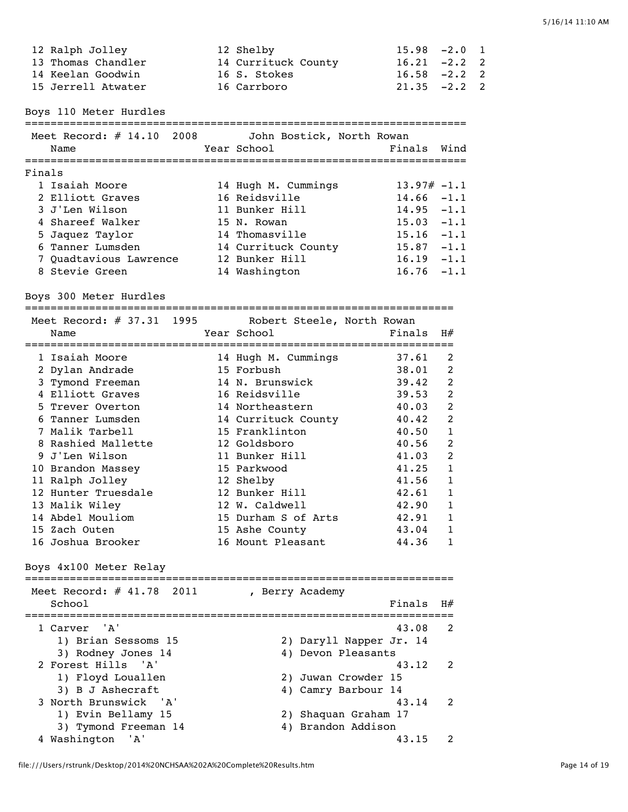| 12 Ralph Jolley    | 12 Shelby           | $15.98 - 2.0 1$ |  |
|--------------------|---------------------|-----------------|--|
| 13 Thomas Chandler | 14 Currituck County | $16.21 -2.2$ 2  |  |
| 14 Keelan Goodwin  | 16 S. Stokes        | $16.58 - 2.2$ 2 |  |
| 15 Jerrell Atwater | 16 Carrboro         | $21.35 -2.2$ 2  |  |

Boys 110 Meter Hurdles

=====================================================================

|        | Meet Record: $# 14.10 2008$<br>Name | John Bostick, North Rowan<br>Year School | Finals Wind   |        |
|--------|-------------------------------------|------------------------------------------|---------------|--------|
| Finals |                                     |                                          |               |        |
|        | 1 Isaiah Moore                      | 14 Hugh M. Cummings                      | $13.97# -1.1$ |        |
|        | 2 Elliott Graves                    | 16 Reidsville                            | $14.66 - 1.1$ |        |
|        | 3 J'Len Wilson                      | 11 Bunker Hill                           | $14.95 - 1.1$ |        |
|        | 4 Shareef Walker                    | 15 N. Rowan                              | $15.03 - 1.1$ |        |
|        | 5 Jaquez Taylor                     | 14 Thomasville                           | $15.16 - 1.1$ |        |
|        | 6 Tanner Lumsden                    | 14 Currituck County                      | 15.87         | $-1.1$ |
|        | 7 Quadtavious Lawrence              | 12 Bunker Hill                           | 16.19         | $-1.1$ |
|        | 8 Stevie Green                      | 14 Washington                            | 16.76         | $-1.1$ |

Boys 300 Meter Hurdles

===================================================================

| Meet Record: # 37.31 1995<br>Name |  | Robert Steele, North Rowan<br>Year School | Finals | H#             |
|-----------------------------------|--|-------------------------------------------|--------|----------------|
| 1 Isaiah Moore                    |  | 14 Hugh M. Cummings                       | 37.61  | 2              |
| 2 Dylan Andrade                   |  | 15 Forbush                                | 38.01  | $\mathcal{L}$  |
| 3 Tymond Freeman                  |  | 14 N. Brunswick                           | 39.42  | $\mathfrak{D}$ |
| 4 Elliott Graves                  |  | 16 Reidsville                             | 39.53  | 2              |
| 5 Trever Overton                  |  | 14 Northeastern                           | 40.03  | 2              |
| 6 Tanner Lumsden                  |  | 14 Currituck County                       | 40.42  | 2              |
| 7 Malik Tarbell                   |  | 15 Franklinton                            | 40.50  | 1              |
| 8 Rashied Mallette                |  | 12 Goldsboro                              | 40.56  | 2              |
| 9 J'Len Wilson                    |  | 11 Bunker Hill                            | 41.03  | 2              |
| 10 Brandon Massey                 |  | 15 Parkwood                               | 41.25  | 1              |
| 11 Ralph Jolley                   |  | 12 Shelby                                 | 41.56  | 1              |
| 12 Hunter Truesdale               |  | 12 Bunker Hill                            | 42.61  | 1              |
| 13 Malik Wiley                    |  | 12 W. Caldwell                            | 42.90  | 1              |
| 14 Abdel Mouliom                  |  | 15 Durham S of Arts                       | 42.91  |                |
| 15 Zach Outen                     |  | 15 Ashe County                            | 43.04  | 1              |
| 16 Joshua Brooker                 |  | 16 Mount Pleasant                         | 44.36  |                |

Boys 4x100 Meter Relay

| Meet Record: $\#$ 41.78 2011 | , Berry Academy                   |
|------------------------------|-----------------------------------|
| School                       | Finals<br><b>Н#</b>               |
| 1 Carver 'A'                 | $\overline{\phantom{a}}$<br>43.08 |
| 1) Brian Sessoms 15          | 2) Daryll Napper Jr. 14           |
| 3) Rodney Jones 14           | 4) Devon Pleasants                |
| 2 Forest Hills 'A'           | 43.12<br>$\overline{\phantom{a}}$ |
| 1) Floyd Louallen            | 2) Juwan Crowder 15               |
| 3) B J Ashecraft             | 4) Camry Barbour 14               |
| 3 North Brunswick 'A'        | 43.14<br>$\overline{\phantom{a}}$ |
| 1) Evin Bellamy 15           | 2) Shaquan Graham 17              |
| 3) Tymond Freeman 14         | 4) Brandon Addison                |
| 4 Washington<br>'A'          | 43.15                             |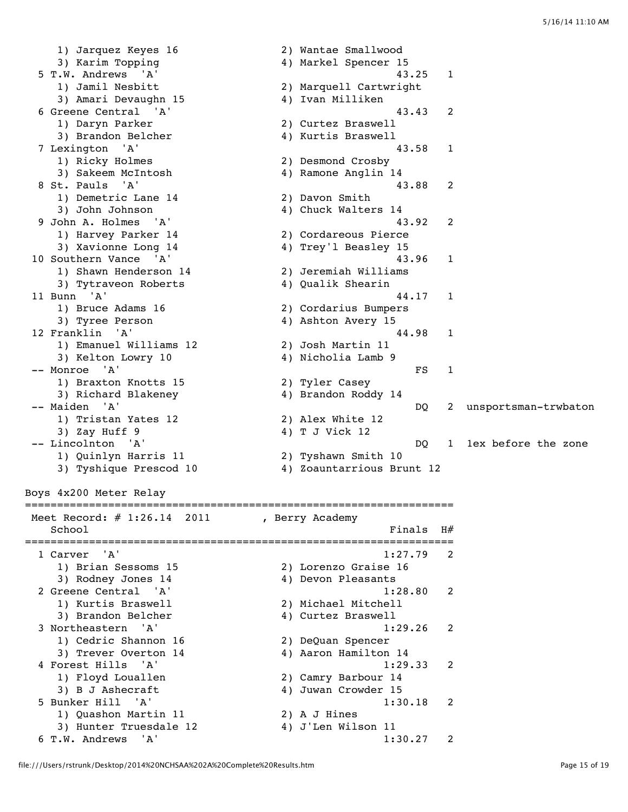1) Jarquez Keyes 16 2) Wantae Smallwood 1) Jarquez Keyes 16 (2) Wantae Smallwood<br>3) Karim Topping (4) Markel Spencer 15 5 T.W. Andrews 'A' 43.25 1 1) Jamil Nesbitt 2) Marquell Cartwright 3) Amari Devaughn 15 4) Ivan Milliken 6 Greene Central 'A' 43.43 2 1) Daryn Parker (2) Curtez Braswell<br>3) Brandon Belcher (2) 4) Kurtis Braswell 3) Brandon Belcher 7 Lexington 'A' 43.58 1 1) Ricky Holmes 2) Desmond Crosby 3) Sakeem McIntosh 4) Ramone Anglin 14 8 St. Pauls 'A' 43.88 2<br>1) Demetric Lane 14 2) Davon Smith 1) Demetric Lane 14 2) Davon Smith 3) John Johnson 4) Chuck Walters 14 9 John A. Holmes 'A' 43.92 2 1) Harvey Parker 14 2) Cordareous Pierce 3) Xavionne Long 14 4) Trey'l Beasley 15 10 Southern Vance 'A' 43.96 1 1) Shawn Henderson 14 2) Jeremiah Williams 3) Tytraveon Roberts 4) Qualik Shearin 11 Bunn 'A' 44.17 1 1) Bruce Adams 16 2) Cordarius Bumpers 3) Tyree Person and the set of the 4) Ashton Avery 15 12 Franklin 'A' 44.98 1 1) Emanuel Williams 12 2) Josh Martin 11 3) Kelton Lowry 10 4) Nicholia Lamb 9 -- Monroe 'A' FS 1 1) Braxton Knotts 15 2) Tyler Casey 3) Richard Blakeney 4) Brandon Roddy 14 -- Maiden 'A' DQ 2 unsportsman-trwbaton 1) Tristan Yates 12 2) Alex White 12  $\begin{array}{c} 1) \text{ } 11.15 \text{ cm} \text{ } 11.16 \text{ cm} \end{array}$ <br>3) Zay Huff 9  $\begin{array}{c} 4) \text{ } \text{T} \text{ } \text{J} \text{ } \text{Vick} \text{ } 12 \end{array}$  -- Lincolnton 'A' DQ 1 1ex before the zone 1) Quinlyn Harris 11 2) Tyshawn Smith 10 3) Tyshique Prescod 10 4) Zoauntarrious Brunt 12 Boys 4x200 Meter Relay =================================================================== Meet Record: # 1:26.14 2011 , Berry Academy School  $F$ inals  $H$ # ===================================================================  $1:27.79$  2 1) Brian Sessoms 15 2) Lorenzo Graise 16 3) Rodney Jones 14 (4) Devon Pleasants 2 Greene Central 'A' 1:28.80 2 1) Kurtis Braswell 2) Michael Mitchell 3) Brandon Belcher (4) Curtez Braswell 3 Northeastern 'A' 1:29.26 2 1) Cedric Shannon 16 2) DeQuan Spencer 3) Trever Overton 14 4) Aaron Hamilton 14 4 Forest Hills 'A' 1:29.33 2 1) Floyd Louallen 2) Camry Barbour 14

1) Quashon Martin 11 2) A J Hines

3) B J Ashecraft 4) Juwan Crowder 15

3) Hunter Truesdale 12 4) J'Len Wilson 11

5 Bunker Hill 'A' 1:30.18 2

6 T.W. Andrews 'A' 1:30.27 2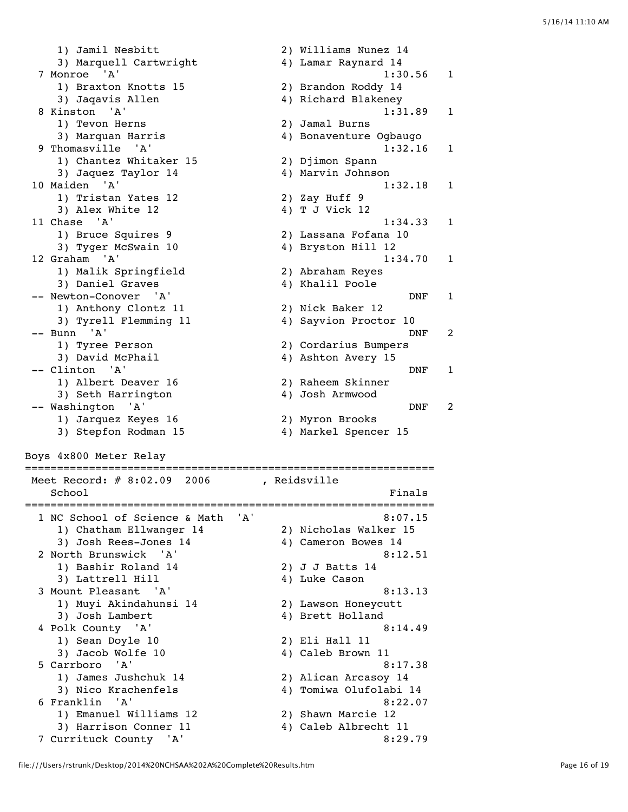1) Jamil Nesbitt 2) Williams Nunez 14 3) Marquell Cartwright 4) Lamar Raynard 14 7 Monroe 'A' 1:30.56 1 1) Braxton Knotts 15 2) Brandon Roddy 14 3) Jaqavis Allen 4) Richard Blakeney 8 Kinston 'A' 1:31.89 1 1) Tevon Herns 2) Jamal Burns 3) Marquan Harris 4) Bonaventure Ogbaugo 9 Thomasville 'A' 1:32.16 1 1) Chantez Whitaker 15 2) Djimon Spann 3) Jaquez Taylor 14 (4) Marvin Johnson 10 Maiden 'A' 1:32.18 1<br>
1) Tristan Yates 12 2) Zay Huff 9<br>
2) 20 Maiden Vates 12 4) T J Vick 12 1) Tristan Yates 12 2) Zay Huff 9 3) Alex White 12 4) T J Vick 12 11 Chase 'A' 1:34.33 1 1) Bruce Squires 9 2) Lassana Fofana 10 3) Tyger McSwain 10 4) Bryston Hill 12 12 Graham 'A' 1:34.70 1<br>
1) Malik Springfield 2) Abraham Reyes 1) Malik Springfield 2) Abraham Reyes 3) Daniel Graves (4) Khalil Poole -- Newton-Conover 'A' DNF 1 1) Anthony Clontz 11 2) Nick Baker 12 3) Tyrell Flemming 11 4) Sayvion Proctor 10 -- Bunn 'A' DNF 2 1) Tyree Person 2) Cordarius Bumpers 3) David McPhail 4) Ashton Avery 15 -- Clinton 'A' DNF 1 1) Albert Deaver 16 2) Raheem Skinner 3) Seth Harrington 4) Josh Armwood -- Washington 'A' DNF 2 1) Jarquez Keyes 16 2) Myron Brooks 3) Stepfon Rodman 15 4) Markel Spencer 15 Boys 4x800 Meter Relay ================================================================ Meet Record: # 8:02.09 2006 , Reidsville School Finals ================================================================ 1 NC School of Science & Math 'A' 8:07.15 1) Chatham Ellwanger 14 2) Nicholas Walker 15 3) Josh Rees-Jones 14  $\hskip1cm \hskip1cm 4$ ) Cameron Bowes 14 2 North Brunswick 'A' 8:12.51 1) Bashir Roland 14 2) J J Batts 14 3) Lattrell Hill 4) Luke Cason 3 Mount Pleasant 'A' 8:13.13 1) Muyi Akindahunsi 14 2) Lawson Honeycutt 3) Josh Lambert 4) Brett Holland 4 Polk County 'A' 8:14.49 1) Sean Doyle 10 2) Eli Hall 11 3) Jacob Wolfe 10 4) Caleb Brown 11 5 Carrboro 'A' 8:17.38 1) James Jushchuk 14 2) Alican Arcasoy 14 3) Nico Krachenfels 4) Tomiwa Olufolabi 14 6 Franklin 'A' 8:22.07 1) Emanuel Williams 12 2) Shawn Marcie 12 3) Harrison Conner 11 4) Caleb Albrecht 11 7 Currituck County 'A' 8:29.79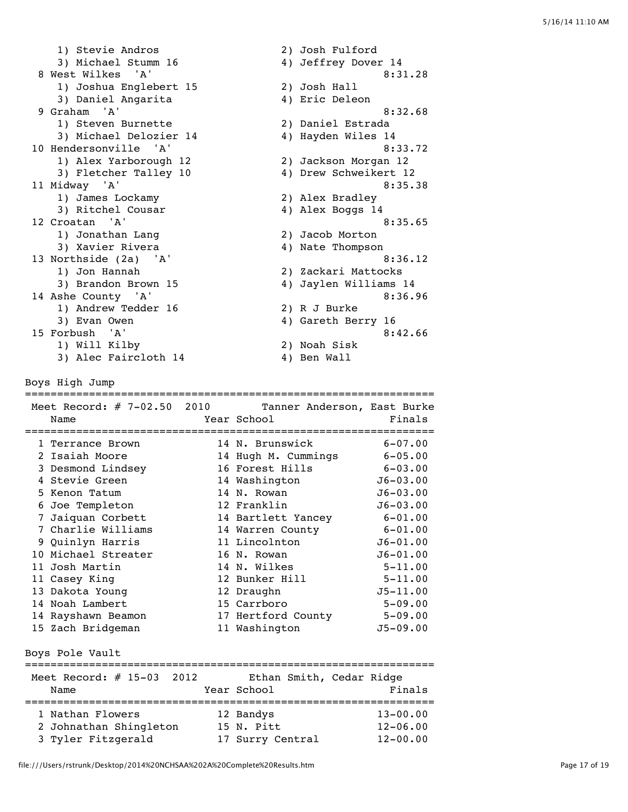1) Stevie Andros 2) Josh Fulford 3) Michael Stumm 16 4) Jeffrey Dover 14 8 West Wilkes 'A' 8:31.28<br>1) Joshua Englebert 15 2) Josh Hall 1) Joshua Englebert 15 2) Josh Hall 3) Daniel Angarita 4) Eric Deleon 9 Graham 'A' 8:32.68 1) Steven Burnette 2) Daniel Estrada 3) Michael Delozier 14 4) Hayden Wiles 14 10 Hendersonville 'A' 8:33.72 1) Alex Yarborough 12 2) Jackson Morgan 12 3) Fletcher Talley 10 4) Drew Schweikert 12 11 Midway 'A' 8:35.38 1) James Lockamy 2) Alex Bradley 3) Ritchel Cousar (4) Alex Boggs 14 12 Croatan 'A' 8:35.65 1) Jonathan Lang 2) Jacob Morton 3) Xavier Rivera (4) Nate Thompson 13 Northside (2a) 'A' 8:36.12 1) Jon Hannah 2) Zackari Mattocks 3) Brandon Brown 15 4) Jaylen Williams 14 14 Ashe County 'A' 8:36.96 1) Andrew Tedder 16 2) R J Burke 3) Evan Owen 1988 (2008) 2012 (2018) 4 Gareth Berry 16 15 Forbush 'A' 8:42.66 1) Will Kilby 2) Noah Sisk 3) Alec Faircloth 14 (2) Noon 515K Boys High Jump ================================================================ Meet Record: # 7-02.50 2010 Tanner Anderson, East Burke Name Year School Finals ================================================================ 1 Terrance Brown 14 N. Brunswick 6-07.00 2 Isaiah Moore 14 Hugh M. Cummings 6-05.00 3 Desmond Lindsey 16 Forest Hills 6-03.00 4 Stevie Green 14 Washington J6-03.00 5 Kenon Tatum 14 N. Rowan J6-03.00 6 Joe Templeton 12 Franklin J6-03.00 7 Jaiquan Corbett 14 Bartlett Yancey 6-01.00 7 Charlie Williams 14 Warren County 6-01.00 9 Quinlyn Harris 11 Lincolnton J6-01.00 10 Michael Streater 16 N. Rowan J6-01.00 11 Josh Martin 14 N. Wilkes 5-11.00 11 Casey King **12 Bunker Hill** 5-11.00 13 Dakota Young 12 Draughn J5-11.00 14 Noah Lambert 15 Carrboro 5-09.00 14 Rayshawn Beamon 17 Hertford County 5-09.00 15 Zach Bridgeman 11 Washington J5-09.00 Boys Pole Vault ================================================================ Meet Record: # 15-03 2012 Ethan Smith, Cedar Ridge Name **Name** Year School **Finals** ================================================================ 1 Nathan Flowers 12 Bandys 13-00.00 2 Johnathan Shingleton 15 N. Pitt 12-06.00 3 Tyler Fitzgerald 17 Surry Central 12-00.00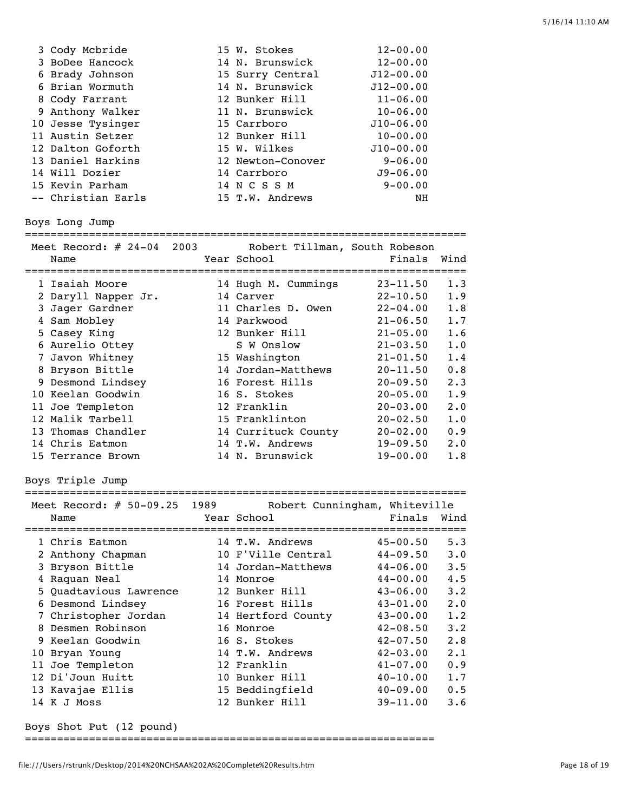| 3 Cody Mcbride     | 15 W. Stokes      | $12 - 00.00$  |
|--------------------|-------------------|---------------|
| 3 BoDee Hancock    | 14 N. Brunswick   | $12 - 00.00$  |
| 6 Brady Johnson    | 15 Surry Central  | $J12 - 00.00$ |
| 6 Brian Wormuth    | 14 N. Brunswick   | $J12 - 00.00$ |
| 8 Cody Farrant     | 12 Bunker Hill    | $11 - 06.00$  |
| 9 Anthony Walker   | 11 N. Brunswick   | $10 - 06.00$  |
| 10 Jesse Tysinger  | 15 Carrboro       | $J10 - 06.00$ |
| 11 Austin Setzer   | 12 Bunker Hill    | $10 - 00.00$  |
| 12 Dalton Goforth  | 15 W. Wilkes      | $J10 - 00.00$ |
| 13 Daniel Harkins  | 12 Newton-Conover | $9 - 06.00$   |
| 14 Will Dozier     | 14 Carrboro       | $J9 - 06.00$  |
| 15 Kevin Parham    | 14 N C S S M      | $9 - 00.00$   |
| -- Christian Earls | 15 T.W. Andrews   | NH            |

#### Boys Long Jump

=====================================================================

|   | Meet Record: $\#$ 24-04 2003<br>Name | Robert Tillman, South Robeson<br>Year School | Finals       | Wind        |
|---|--------------------------------------|----------------------------------------------|--------------|-------------|
|   | 1 Isaiah Moore                       | 14 Hugh M. Cummings                          | $23 - 11.50$ | 1.3         |
|   | 2 Daryll Napper Jr.                  | 14 Carver                                    | $22 - 10.50$ | 1.9         |
|   | 3 Jager Gardner                      | 11 Charles D. Owen                           | $22 - 04.00$ | 1.8         |
| 4 | Sam Mobley                           | 14 Parkwood                                  | $21 - 06.50$ | 1.7         |
|   | 5 Casey King                         | 12 Bunker Hill                               | $21 - 05.00$ | 1.6         |
|   | 6 Aurelio Ottey                      | S W Onslow                                   | $21 - 03.50$ | 1.0         |
|   | 7 Javon Whitney                      | 15 Washington                                | $21 - 01.50$ | 1.4         |
|   | 8 Bryson Bittle                      | 14 Jordan-Matthews                           | $20 - 11.50$ | 0.8         |
|   | 9 Desmond Lindsey                    | 16 Forest Hills                              | $20 - 09.50$ | 2.3         |
|   | 10 Keelan Goodwin                    | 16 S. Stokes                                 | $20 - 05.00$ | 1.9         |
|   | 11 Joe Templeton                     | 12 Franklin                                  | $20 - 03.00$ | $2 \cdot 0$ |
|   | 12 Malik Tarbell                     | 15 Franklinton                               | $20 - 02.50$ | 1.0         |
|   | 13 Thomas Chandler                   | 14 Currituck County                          | $20 - 02.00$ | 0.9         |
|   | 14 Chris Eatmon                      | 14 T.W. Andrews                              | $19 - 09.50$ | $2 \cdot 0$ |
|   | 15 Terrance Brown                    | 14 N. Brunswick                              | $19 - 00.00$ | 1.8         |

Boys Triple Jump

=====================================================================

| Meet Record: # 50-09.25 1989 | Robert Cunningham, Whiteville |              |             |
|------------------------------|-------------------------------|--------------|-------------|
| Name                         | Year School                   | Finals       | Wind        |
|                              |                               |              |             |
| 1 Chris Eatmon               | 14 T.W. Andrews               | $45 - 00.50$ | 5.3         |
| 2 Anthony Chapman            | 10 F'Ville Central            | $44 - 09.50$ | $3 \cdot 0$ |
| 3 Bryson Bittle              | 14 Jordan-Matthews            | $44 - 06.00$ | 3.5         |
| 4 Raquan Neal                | 14 Monroe                     | $44 - 00.00$ | 4.5         |
| 5 Quadtavious Lawrence       | 12 Bunker Hill                | $43 - 06.00$ | 3.2         |
| 6 Desmond Lindsey            | 16 Forest Hills               | $43 - 01.00$ | 2.0         |
| 7 Christopher Jordan         | 14 Hertford County            | $43 - 00.00$ | 1.2         |
| 8 Desmen Robinson            | 16 Monroe                     | $42 - 08.50$ | 3.2         |
| 9 Keelan Goodwin             | 16 S. Stokes                  | $42 - 07.50$ | 2.8         |
| 10 Bryan Young               | 14 T.W. Andrews               | $42 - 03.00$ | 2.1         |
| 11 Joe Templeton             | 12 Franklin                   | $41 - 07.00$ | 0.9         |
| 12 Di'Joun Huitt             | 10 Bunker Hill                | $40 - 10.00$ | 1.7         |
| 13 Kavajae Ellis             | 15 Beddingfield               | $40 - 09.00$ | 0.5         |
| 14 K J Moss                  | 12 Bunker Hill                | $39 - 11.00$ | 3.6         |

Boys Shot Put (12 pound)

================================================================